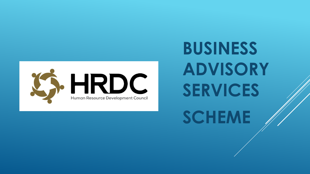

**BUSINESS ADVISORY SERVICES SCHEME**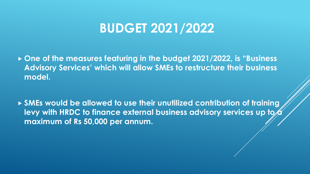# **BUDGET 2021/2022**

 **One of the measures featuring in the budget 2021/2022, is "Business Advisory Services' which will allow SMEs to restructure their business model.**

 **SMEs would be allowed to use their unutilized contribution of training**  levy with HRDC to finance external business advisory services up to b **maximum of Rs 50,000 per annum.**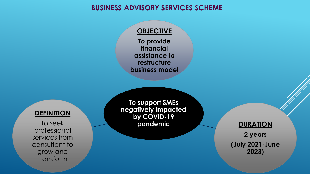#### **BUSINESS ADVISORY SERVICES SCHEME**

**OBJECTIVE** 

**To provide financial assistance to restructure business model**

#### **DEFINITION**

To seek professional services from consultant to grow and transform

**To support SMEs negatively impacted by COVID-19 pandemic**

**DURATION 2 years (July 2021-June 2023)**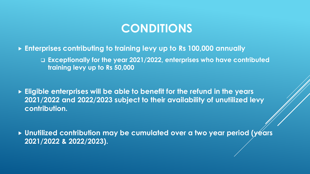## **CONDITIONS**

- **Enterprises contributing to training levy up to Rs 100,000 annually**
	- ❑ **Exceptionally for the year 2021/2022, enterprises who have contributed training levy up to Rs 50,000**
- **Eligible enterprises will be able to benefit for the refund in the years 2021/2022 and 2022/2023 subject to their availability of unutilized levy contribution.**
- **Unutilized contribution may be cumulated over a two year period (years 2021/2022 & 2022/2023).**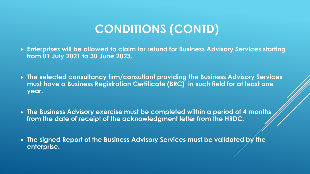# **CONDITIONS (CONTD)**

- **Enterprises will be allowed to claim for refund for Business Advisory Services starting from 01 July 2021 to 30 June 2023.**
- **The selected consultancy firm/consultant providing the Business Advisory Services must have a Business Registration Certificate (BRC) in such field for at least one year.**
- **The Business Advisory exercise must be completed within a period of 4 months from the date of receipt of the acknowledgment letter from the HRDC.**
- **The signed Report of the Business Advisory Services must be validated by the enterprise.**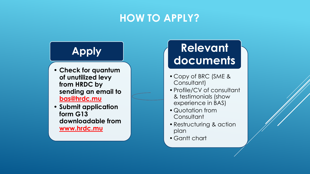### **HOW TO APPLY?**

# **Apply**

- **Check for quantum of unutilized levy from HRDC by sending an email to bas@hrdc.mu**
- **Submit application form G13 downloadable from www.hrdc.mu**

# **Relevant documents**

- Copy of BRC (SME & Consultant)
- •Profile/CV of consultant & testimonials (show experience in BAS)
- Quotation from **Consultant**
- •Restructuring & action plan
- Gantt chart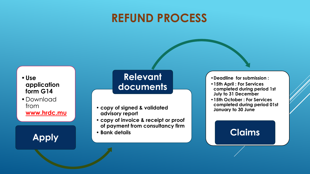## **REFUND PROCESS**

•**Use application form G14**

• Download from **www.hrdc.mu**

**Apply**

#### **Relevant documents**

- **copy of signed & validated advisory report**
- **copy of invoice & receipt or proof of payment from consultancy firm**
- **Bank details**

•**Deadline for submission :**

- •**15th April : For Services completed during period 1st July to 31 December**
- •**15th October : For Services completed during period 01st January to 30 June**

#### **Claims**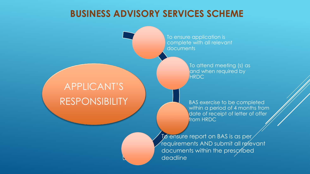#### **BUSINESS ADVISORY SERVICES SCHEME**

## APPLICANT'S RESPONSIBILITY

To ensure application is complete with all relevant **documents** 

> To attend meeting (s) as and when required by **HRDC**

BAS exercise to be completed within a period of 4 months from date of receipt of letter of offer from HRDC

 $\overline{10}$  ensure report on BAS is as per requirements AND submit all relevant documents within the prescribed deadline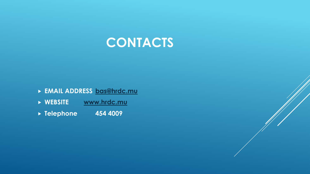

- **EMAIL ADDRESS [bas@hrdc.mu](mailto:bas@hrdc.mu)**
- **WEBSITE [www.hrdc.mu](http://www.hrdc.mu/)**
- **Telephone 454 4009**